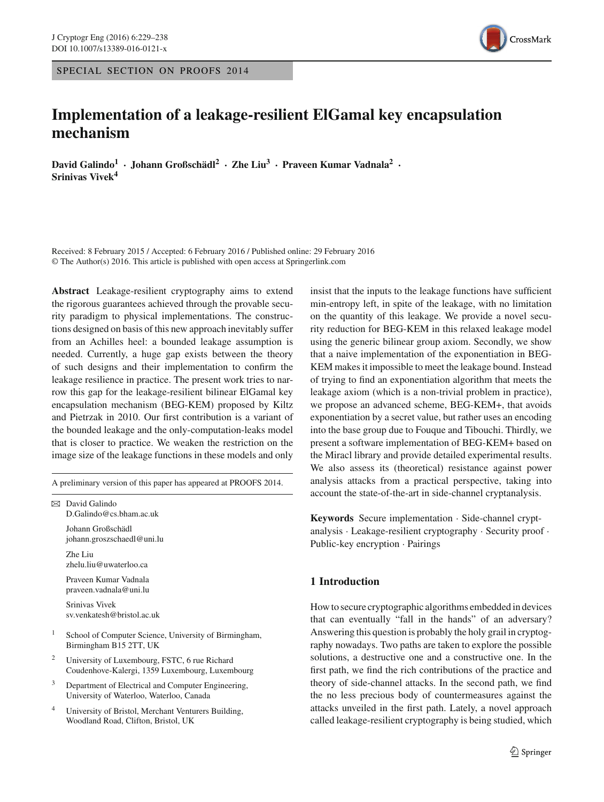SPECIAL SECTION ON PROOFS 2014

# **Implementation of a leakage-resilient ElGamal key encapsulation mechanism**

**David Galindo1 · Johann Großschädl2 · Zhe Liu3 · Praveen Kumar Vadnala2 · Srinivas Vivek4**

Received: 8 February 2015 / Accepted: 6 February 2016 / Published online: 29 February 2016 © The Author(s) 2016. This article is published with open access at Springerlink.com

**Abstract** Leakage-resilient cryptography aims to extend the rigorous guarantees achieved through the provable security paradigm to physical implementations. The constructions designed on basis of this new approach inevitably suffer from an Achilles heel: a bounded leakage assumption is needed. Currently, a huge gap exists between the theory of such designs and their implementation to confirm the leakage resilience in practice. The present work tries to narrow this gap for the leakage-resilient bilinear ElGamal key encapsulation mechanism (BEG-KEM) proposed by Kiltz and Pietrzak in 2010. Our first contribution is a variant of the bounded leakage and the only-computation-leaks model that is closer to practice. We weaken the restriction on the image size of the leakage functions in these models and only

A preliminary version of this paper has appeared at PROOFS 2014.

 $\boxtimes$  David Galindo D.Galindo@cs.bham.ac.uk Johann Großschädl johann.groszschaedl@uni.lu Zhe Liu zhelu.liu@uwaterloo.ca Praveen Kumar Vadnala praveen.vadnala@uni.lu Srinivas Vivek sv.venkatesh@bristol.ac.uk

- <sup>1</sup> School of Computer Science, University of Birmingham, Birmingham B15 2TT, UK
- <sup>2</sup> University of Luxembourg, FSTC, 6 rue Richard Coudenhove-Kalergi, 1359 Luxembourg, Luxembourg
- <sup>3</sup> Department of Electrical and Computer Engineering, University of Waterloo, Waterloo, Canada
- <sup>4</sup> University of Bristol, Merchant Venturers Building, Woodland Road, Clifton, Bristol, UK

insist that the inputs to the leakage functions have sufficient min-entropy left, in spite of the leakage, with no limitation on the quantity of this leakage. We provide a novel security reduction for BEG-KEM in this relaxed leakage model using the generic bilinear group axiom. Secondly, we show that a naive implementation of the exponentiation in BEG-KEM makes it impossible to meet the leakage bound. Instead of trying to find an exponentiation algorithm that meets the leakage axiom (which is a non-trivial problem in practice), we propose an advanced scheme, BEG-KEM+, that avoids exponentiation by a secret value, but rather uses an encoding into the base group due to Fouque and Tibouchi. Thirdly, we present a software implementation of BEG-KEM+ based on the Miracl library and provide detailed experimental results. We also assess its (theoretical) resistance against power analysis attacks from a practical perspective, taking into account the state-of-the-art in side-channel cryptanalysis.

**Keywords** Secure implementation · Side-channel cryptanalysis · Leakage-resilient cryptography · Security proof · Public-key encryption · Pairings

# **1 Introduction**

How to secure cryptographic algorithms embedded in devices that can eventually "fall in the hands" of an adversary? Answering this question is probably the holy grail in cryptography nowadays. Two paths are taken to explore the possible solutions, a destructive one and a constructive one. In the first path, we find the rich contributions of the practice and theory of side-channel attacks. In the second path, we find the no less precious body of countermeasures against the attacks unveiled in the first path. Lately, a novel approach called leakage-resilient cryptography is being studied, which

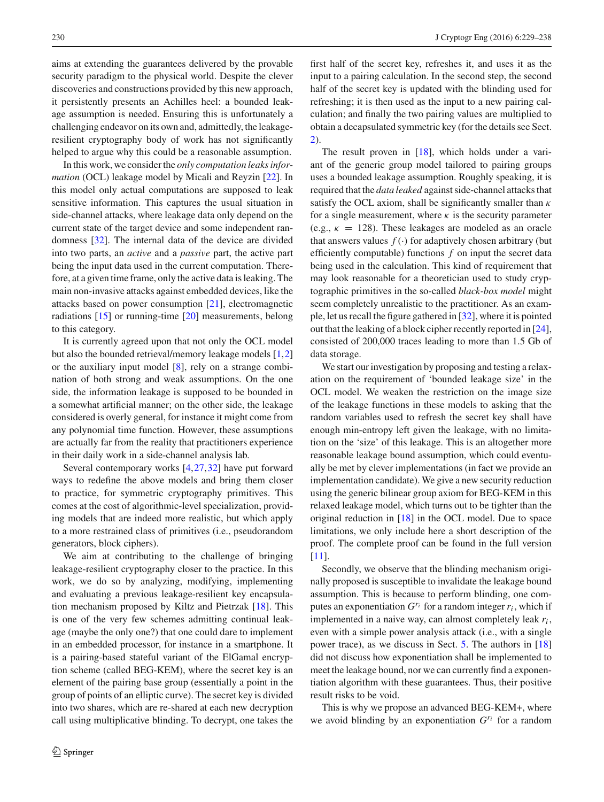aims at extending the guarantees delivered by the provable security paradigm to the physical world. Despite the clever discoveries and constructions provided by this new approach, it persistently presents an Achilles heel: a bounded leakage assumption is needed. Ensuring this is unfortunately a challenging endeavor on its own and, admittedly, the leakageresilient cryptography body of work has not significantly helped to argue why this could be a reasonable assumption.

In this work, we consider the *only computation leaks information* (OCL) leakage model by Micali and Reyzin [\[22\]](#page-9-0). In this model only actual computations are supposed to leak sensitive information. This captures the usual situation in side-channel attacks, where leakage data only depend on the current state of the target device and some independent randomness [\[32\]](#page-9-1). The internal data of the device are divided into two parts, an *active* and a *passive* part, the active part being the input data used in the current computation. Therefore, at a given time frame, only the active data is leaking. The main non-invasive attacks against embedded devices, like the attacks based on power consumption [\[21\]](#page-9-2), electromagnetic radiations [\[15\]](#page-9-3) or running-time [\[20\]](#page-9-4) measurements, belong to this category.

It is currently agreed upon that not only the OCL model but also the bounded retrieval/memory leakage models [\[1,](#page-9-5)[2\]](#page-9-6) or the auxiliary input model [\[8\]](#page-9-7), rely on a strange combination of both strong and weak assumptions. On the one side, the information leakage is supposed to be bounded in a somewhat artificial manner; on the other side, the leakage considered is overly general, for instance it might come from any polynomial time function. However, these assumptions are actually far from the reality that practitioners experience in their daily work in a side-channel analysis lab.

Several contemporary works [\[4](#page-9-8),[27](#page-9-9),[32\]](#page-9-1) have put forward ways to redefine the above models and bring them closer to practice, for symmetric cryptography primitives. This comes at the cost of algorithmic-level specialization, providing models that are indeed more realistic, but which apply to a more restrained class of primitives (i.e., pseudorandom generators, block ciphers).

We aim at contributing to the challenge of bringing leakage-resilient cryptography closer to the practice. In this work, we do so by analyzing, modifying, implementing and evaluating a previous leakage-resilient key encapsulation mechanism proposed by Kiltz and Pietrzak [\[18](#page-9-10)]. This is one of the very few schemes admitting continual leakage (maybe the only one?) that one could dare to implement in an embedded processor, for instance in a smartphone. It is a pairing-based stateful variant of the ElGamal encryption scheme (called BEG-KEM), where the secret key is an element of the pairing base group (essentially a point in the group of points of an elliptic curve). The secret key is divided into two shares, which are re-shared at each new decryption call using multiplicative blinding. To decrypt, one takes the

first half of the secret key, refreshes it, and uses it as the input to a pairing calculation. In the second step, the second half of the secret key is updated with the blinding used for refreshing; it is then used as the input to a new pairing calculation; and finally the two pairing values are multiplied to obtain a decapsulated symmetric key (for the details see Sect. [2\)](#page-2-0).

The result proven in [\[18\]](#page-9-10), which holds under a variant of the generic group model tailored to pairing groups uses a bounded leakage assumption. Roughly speaking, it is required that the *data leaked* against side-channel attacks that satisfy the OCL axiom, shall be significantly smaller than  $\kappa$ for a single measurement, where  $\kappa$  is the security parameter (e.g.,  $\kappa = 128$ ). These leakages are modeled as an oracle that answers values  $f(.)$  for adaptively chosen arbitrary (but efficiently computable) functions *f* on input the secret data being used in the calculation. This kind of requirement that may look reasonable for a theoretician used to study cryptographic primitives in the so-called *black-box model* might seem completely unrealistic to the practitioner. As an example, let us recall the figure gathered in [\[32](#page-9-1)], where it is pointed out that the leaking of a block cipher recently reported in [\[24](#page-9-11)], consisted of 200,000 traces leading to more than 1.5 Gb of data storage.

We start our investigation by proposing and testing a relaxation on the requirement of 'bounded leakage size' in the OCL model. We weaken the restriction on the image size of the leakage functions in these models to asking that the random variables used to refresh the secret key shall have enough min-entropy left given the leakage, with no limitation on the 'size' of this leakage. This is an altogether more reasonable leakage bound assumption, which could eventually be met by clever implementations (in fact we provide an implementation candidate). We give a new security reduction using the generic bilinear group axiom for BEG-KEM in this relaxed leakage model, which turns out to be tighter than the original reduction in [\[18](#page-9-10)] in the OCL model. Due to space limitations, we only include here a short description of the proof. The complete proof can be found in the full version [\[11](#page-9-12)].

Secondly, we observe that the blinding mechanism originally proposed is susceptible to invalidate the leakage bound assumption. This is because to perform blinding, one computes an exponentiation  $G^{r_i}$  for a random integer  $r_i$ , which if implemented in a naive way, can almost completely leak  $r_i$ , even with a simple power analysis attack (i.e., with a single power trace), as we discuss in Sect. [5.](#page-6-0) The authors in [\[18\]](#page-9-10) did not discuss how exponentiation shall be implemented to meet the leakage bound, nor we can currently find a exponentiation algorithm with these guarantees. Thus, their positive result risks to be void.

This is why we propose an advanced BEG-KEM+, where we avoid blinding by an exponentiation *Gri* for a random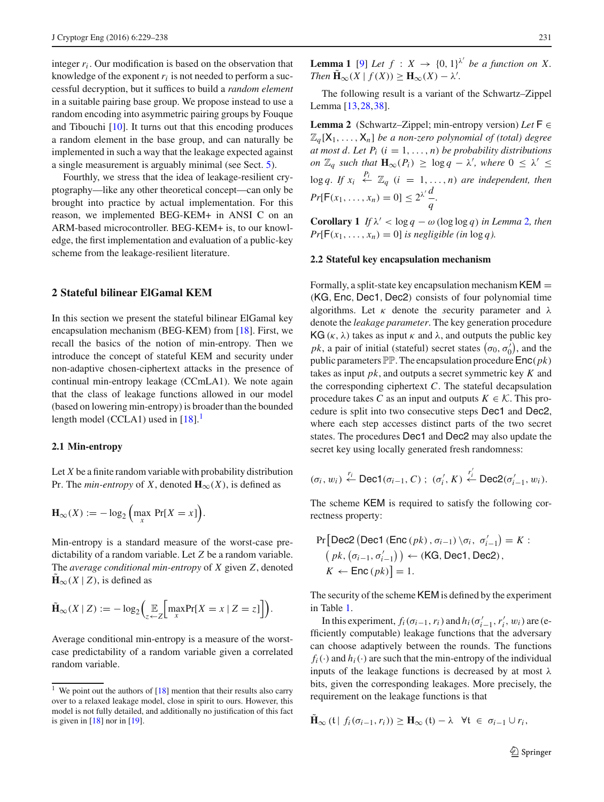integer *ri* . Our modification is based on the observation that knowledge of the exponent  $r_i$  is not needed to perform a successful decryption, but it suffices to build a *random element* in a suitable pairing base group. We propose instead to use a random encoding into asymmetric pairing groups by Fouque and Tibouchi [\[10\]](#page-9-13). It turns out that this encoding produces a random element in the base group, and can naturally be implemented in such a way that the leakage expected against a single measurement is arguably minimal (see Sect. [5\)](#page-6-0).

Fourthly, we stress that the idea of leakage-resilient cryptography—like any other theoretical concept—can only be brought into practice by actual implementation. For this reason, we implemented BEG-KEM+ in ANSI C on an ARM-based microcontroller. BEG-KEM+ is, to our knowledge, the first implementation and evaluation of a public-key scheme from the leakage-resilient literature.

### <span id="page-2-0"></span>**2 Stateful bilinear ElGamal KEM**

In this section we present the stateful bilinear ElGamal key encapsulation mechanism (BEG-KEM) from [\[18\]](#page-9-10). First, we recall the basics of the notion of min-entropy. Then we introduce the concept of stateful KEM and security under non-adaptive chosen-ciphertext attacks in the presence of continual min-entropy leakage (CCmLA1). We note again that the class of leakage functions allowed in our model (based on lowering min-entropy) is broader than the bounded length model (CCLA[1](#page-2-1)) used in  $[18]$ .<sup>1</sup>

### **2.1 Min-entropy**

Let *X* be a finite random variable with probability distribution Pr. The *min-entropy* of *X*, denoted  $H_{\infty}(X)$ , is defined as

$$
\mathbf{H}_{\infty}(X) := -\log_2\left(\max_{x} \Pr[X = x]\right).
$$

Min-entropy is a standard measure of the worst-case predictability of a random variable. Let *Z* be a random variable. The *average conditional min-entropy* of *X* given *Z*, denoted  $\mathbf{H}_{\infty}(X | Z)$ , is defined as

$$
\tilde{\mathbf{H}}_{\infty}(X \mid Z) := -\log_2\left(\underset{z}{\mathbb{E}}\left[\underset{x}{\max} \Pr[X = x \mid Z = z]\right]\right).
$$

<span id="page-2-3"></span>Average conditional min-entropy is a measure of the worstcase predictability of a random variable given a correlated random variable.

**Lemma 1** [\[9\]](#page-9-15) Let  $f : X \to \{0, 1\}^{\lambda'}$  be a function on X. *Then*  $\mathbf{H}_{\infty}(X \mid f(X)) \geq \mathbf{H}_{\infty}(X) - \lambda'.$ 

<span id="page-2-2"></span>The following result is a variant of the Schwartz–Zippel Lemma [\[13](#page-9-16),[28,](#page-9-17)[38\]](#page-9-18).

**Lemma 2** (Schwartz–Zippel; min-entropy version) *Let* F ∈  $\mathbb{Z}_q[X_1,\ldots,X_n]$  *be a non-zero polynomial of (total) degree at most d. Let P<sub>i</sub>*  $(i = 1, ..., n)$  *be probability distributions on*  $\mathbb{Z}_q$  *such that*  $\mathbf{H}_{\infty}(P_i) \ge \log q - \lambda'$ , where  $0 \le \lambda' \le$  $\log q$ . If  $x_i \stackrel{P_i}{\leftarrow} \mathbb{Z}_q$   $(i = 1, ..., n)$  are independent, then  $Pr[F(x_1, ..., x_n) = 0] \le 2^{\lambda'} \frac{d}{q}$ .

**Corollary 1** *If*  $\lambda' < \log q - \omega(\log \log q)$  *in Lemma* [2](#page-2-2)*, then*  $Pr[F(x_1, \ldots, x_n) = 0]$  *is negligible (in* log *q*).

### **2.2 Stateful key encapsulation mechanism**

Formally, a split-state key encapsulation mechanism  $KEM =$ (KG,Enc, Dec1, Dec2) consists of four polynomial time algorithms. Let  $\kappa$  denote the *security* parameter and  $\lambda$ denote the *leakage parameter*. The key generation procedure KG ( $\kappa$ ,  $\lambda$ ) takes as input  $\kappa$  and  $\lambda$ , and outputs the public key *pk*, a pair of initial (stateful) secret states  $(\sigma_0, \sigma'_0)$ , and the public parameters  $\mathbb{PP}$ . The encapsulation procedure  $\mathsf{Enc}(pk)$ takes as input *pk*, and outputs a secret symmetric key *K* and the corresponding ciphertext *C*. The stateful decapsulation procedure takes *C* as an input and outputs  $K \in \mathcal{K}$ . This procedure is split into two consecutive steps Dec1 and Dec2, where each step accesses distinct parts of the two secret states. The procedures Dec1 and Dec2 may also update the secret key using locally generated fresh randomness:

$$
(\sigma_i, w_i) \stackrel{r_i}{\leftarrow} \text{Dec1}(\sigma_{i-1}, C) ; (\sigma'_i, K) \stackrel{r'_i}{\leftarrow} \text{Dec2}(\sigma'_{i-1}, w_i).
$$

The scheme KEM is required to satisfy the following correctness property:

$$
\Pr\left[\text{Dec2}\left(\text{Dec1}\left(\text{Enc}\left(\text{pk}\right), \sigma_{i-1}\right) \setminus \sigma_{i}, \sigma'_{i-1}\right) = K : \right. \\ \left. \left(\text{pk}, \left(\sigma_{i-1}, \sigma'_{i-1}\right)\right) \leftarrow (\text{KG}, \text{Dec1}, \text{Dec2}), \\ K \leftarrow \text{Enc}\left(\text{pk}\right) = 1.
$$

The security of the scheme KEM is defined by the experiment in Table [1.](#page-3-0)

In this experiment,  $f_i(\sigma_{i-1}, r_i)$  and  $h_i(\sigma'_{i-1}, r'_i, w_i)$  are (efficiently computable) leakage functions that the adversary can choose adaptively between the rounds. The functions  $f_i(\cdot)$  and  $h_i(\cdot)$  are such that the min-entropy of the individual inputs of the leakage functions is decreased by at most  $\lambda$ bits, given the corresponding leakages. More precisely, the requirement on the leakage functions is that

$$
\tilde{\mathbf{H}}_{\infty}(\mathfrak{t} | f_i(\sigma_{i-1}, r_i)) \geq \mathbf{H}_{\infty}(\mathfrak{t}) - \lambda \quad \forall \mathfrak{t} \in \sigma_{i-1} \cup r_i,
$$

<span id="page-2-1"></span><sup>&</sup>lt;sup>1</sup> We point out the authors of  $[18]$  $[18]$  mention that their results also carry over to a relaxed leakage model, close in spirit to ours. However, this model is not fully detailed, and additionally no justification of this fact is given in  $[18]$  $[18]$  nor in  $[19]$ .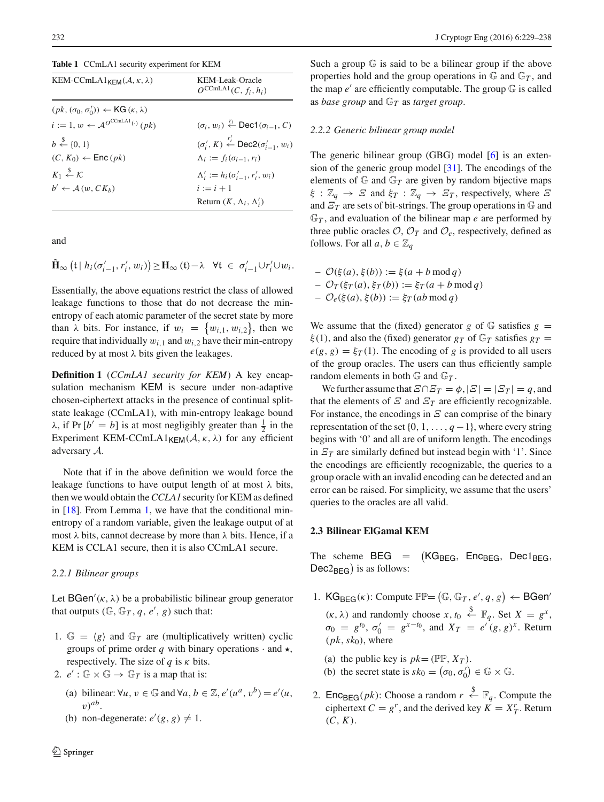<span id="page-3-0"></span>**Table 1** CCmLA1 security experiment for KEM

| KEM-CCmLA1 <sub>KFM</sub> $(A, \kappa, \lambda)$               | KEM-Leak-Oracle<br>$Q^{C C m L A1} (C, f_i, h_i)$                              |
|----------------------------------------------------------------|--------------------------------------------------------------------------------|
| $(pk, (\sigma_0, \sigma'_0)) \leftarrow KG(\kappa, \lambda)$   |                                                                                |
| $i := 1, w \leftarrow \mathcal{A}^{O^{C C m L A1}(\cdot)}(pk)$ | $(\sigma_i, w_i) \stackrel{r_i}{\leftarrow} \text{Dec1}(\sigma_{i-1}, C)$      |
| $b \stackrel{\$}{\leftarrow} \{0, 1\}$                         | $(\sigma'_i, K) \stackrel{r'_i}{\leftarrow} \textsf{Dec2}(\sigma'_{i-1}, w_i)$ |
| $(C, K_0) \leftarrow \textsf{Enc}\left(\rho k\right)$          | $\Lambda_i := f_i(\sigma_{i-1}, r_i)$                                          |
| $K_1 \overset{\$}{\leftarrow} K$                               | $\Lambda'_{i} := h_{i}(\sigma'_{i-1}, r'_{i}, w_{i})$                          |
| $b' \leftarrow A(w, C K_h)$                                    | $i := i + 1$                                                                   |
|                                                                | Return $(K, \Lambda_i, \Lambda'_i)$                                            |

and

$$
\tilde{\mathbf{H}}_{\infty}\left(t\mid h_i(\sigma'_{i-1},r'_i,w_i)\right) \geq \mathbf{H}_{\infty}\left(t\right) - \lambda \quad \forall t \in \sigma'_{i-1} \cup r'_i \cup w_i.
$$

Essentially, the above equations restrict the class of allowed leakage functions to those that do not decrease the minentropy of each atomic parameter of the secret state by more than  $\lambda$  bits. For instance, if  $w_i = \{w_{i,1}, w_{i,2}\}$ , then we require that individually  $w_{i,1}$  and  $w_{i,2}$  have their min-entropy reduced by at most  $\lambda$  bits given the leakages.

**Definition 1** (*CCmLA1 security for KEM*) A key encapsulation mechanism KEM is secure under non-adaptive chosen-ciphertext attacks in the presence of continual splitstate leakage (CCmLA1), with min-entropy leakage bound  $\lambda$ , if Pr  $[b' = b]$  is at most negligibly greater than  $\frac{1}{2}$  in the Experiment KEM-CCmLA1<sub>KFM</sub> $(A, \kappa, \lambda)$  for any efficient adversary *A*.

Note that if in the above definition we would force the leakage functions to have output length of at most  $\lambda$  bits, then we would obtain the*CCLA1* security for KEM as defined in [\[18](#page-9-10)]. From Lemma [1,](#page-2-3) we have that the conditional minentropy of a random variable, given the leakage output of at most  $\lambda$  bits, cannot decrease by more than  $\lambda$  bits. Hence, if a KEM is CCLA1 secure, then it is also CCmLA1 secure.

#### *2.2.1 Bilinear groups*

Let BGen'( $\kappa$ ,  $\lambda$ ) be a probabilistic bilinear group generator that outputs  $(\mathbb{G}, \mathbb{G}_T, q, e', g)$  such that:

- 1.  $\mathbb{G} = \langle g \rangle$  and  $\mathbb{G}_T$  are (multiplicatively written) cyclic groups of prime order q with binary operations  $\cdot$  and  $\star$ , respectively. The size of *q* is κ bits.
- 2.  $e'$ :  $\mathbb{G} \times \mathbb{G} \rightarrow \mathbb{G}_T$  is a map that is:
	- (a) bilinear:  $\forall u, v \in \mathbb{G}$  and  $\forall a, b \in \mathbb{Z}, e'(u^a, v^b) = e'(u,$  $v)$ <sup>*ab*</sup>.
	- (b) non-degenerate:  $e'(g, g) \neq 1$ .

Such a group G is said to be a bilinear group if the above properties hold and the group operations in  $\mathbb{G}$  and  $\mathbb{G}_T$ , and the map  $e'$  are efficiently computable. The group  $\mathbb G$  is called as *base group* and G*<sup>T</sup>* as *target group*.

#### *2.2.2 Generic bilinear group model*

The generic bilinear group (GBG) model [\[6\]](#page-9-19) is an extension of the generic group model [\[31\]](#page-9-20). The encodings of the elements of  $G$  and  $G_T$  are given by random bijective maps  $\xi : \mathbb{Z}_q \to \Xi$  and  $\xi_T : \mathbb{Z}_q \to \Xi_T$ , respectively, where  $\Xi$ and  $\mathcal{E}_T$  are sets of bit-strings. The group operations in  $\mathbb{G}$  and G*<sup>T</sup>* , and evaluation of the bilinear map *e* are performed by three public oracles  $O$ ,  $O_T$  and  $O_e$ , respectively, defined as follows. For all  $a, b \in \mathbb{Z}_q$ 

– *O*(ξ(*a*), ξ(*b*)) := ξ(*a* + *b* mod *q*)  $-\mathcal{O}_T(\xi_T(a), \xi_T(b)) := \xi_T(a + b \mod q)$  $-\mathcal{O}_e(\xi(a), \xi(b)) := \xi_T(ab \mod q)$ 

We assume that the (fixed) generator *g* of  $\mathbb{G}$  satisfies  $g =$  $\xi(1)$ , and also the (fixed) generator  $g_T$  of  $\mathbb{G}_T$  satisfies  $g_T =$  $e(g, g) = \xi_T(1)$ . The encoding of *g* is provided to all users of the group oracles. The users can thus efficiently sample random elements in both  $\mathbb{G}$  and  $\mathbb{G}_T$ .

We further assume that  $E \cap E_T = \phi$ ,  $|E| = |E_T| = q$ , and that the elements of  $E$  and  $E_T$  are efficiently recognizable. For instance, the encodings in  $E$  can comprise of the binary representation of the set  $\{0, 1, \ldots, q-1\}$ , where every string begins with '0' and all are of uniform length. The encodings in  $\mathbb{Z}_T$  are similarly defined but instead begin with '1'. Since the encodings are efficiently recognizable, the queries to a group oracle with an invalid encoding can be detected and an error can be raised. For simplicity, we assume that the users' queries to the oracles are all valid.

### **2.3 Bilinear ElGamal KEM**

The scheme  $BEG =$  $(KG_{\text{BEG}}, \text{Enc}_{\text{BEG}}, \text{Dec1}_{\text{BEG}},$  $Dec2_{BEG}$ ) is as follows:

- 1.  $\mathsf{KG}_{\mathsf{BEG}}(\kappa)$ : Compute  $\mathbb{PP} = (\mathbb{G}, \mathbb{G}_T, e', q, g) \leftarrow \mathsf{BGen}'$  $(\kappa, \lambda)$  and randomly choose  $x, t_0 \stackrel{\$}{\leftarrow} \mathbb{F}_q$ . Set  $X = g^x$ ,  $\sigma_0 = g^{t_0}, \sigma'_0 = g^{x-t_0}, \text{ and } X_T = e^{t}(g, g)^x.$  Return  $(pk, sk_0)$ , where
	- (a) the public key is  $pk = (\mathbb{PP}, X_T)$ .
	- (b) the secret state is  $sk_0 = (\sigma_0, \sigma'_0) \in \mathbb{G} \times \mathbb{G}$ .
- 2. **Enc**<sub>BEG</sub>(*pk*): Choose a random  $r \overset{\$}{\leftarrow} \mathbb{F}_q$ . Compute the ciphertext  $C = g^r$ , and the derived key  $K = X^r_T$ . Return  $(C, K)$ .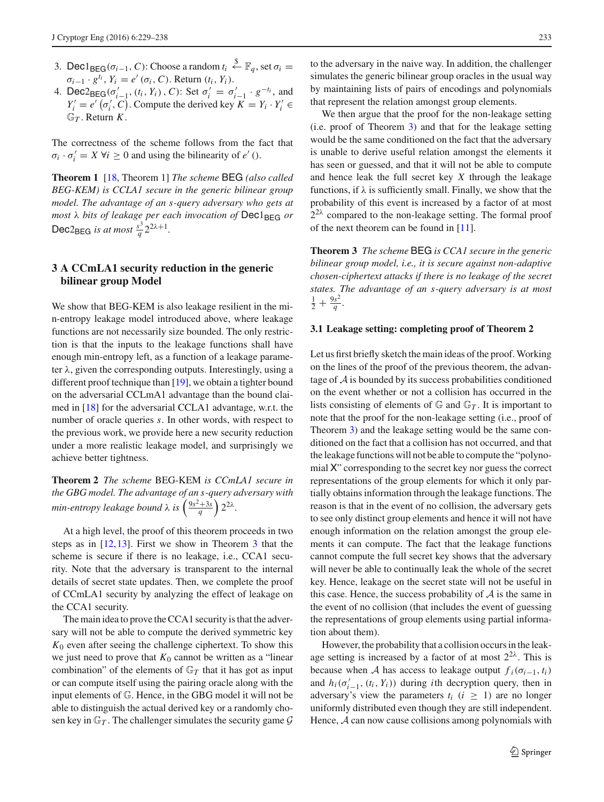- 3. Dec1<sub>BEG</sub>( $\sigma_{i-1}$ , *C*): Choose a random  $t_i \stackrel{\$}{\leftarrow} \mathbb{F}_q$ , set  $\sigma_i =$  $\sigma_{i-1} \cdot g^{t_i}$ ,  $Y_i = e'(\sigma_i, C)$ . Return  $(t_i, Y_i)$ .
- 4. Dec2<sub>BEG</sub>( $\sigma'_{i-1}$ , ( $t_i$ ,  $Y_i$ ), C): Set  $\sigma'_{i} = \sigma'_{i-1} \cdot g^{-t_i}$ , and  $Y_i' = e' \left( \sigma_i', C \right)$ . Compute the derived key  $K = Y_i \cdot Y_i' \in$  $\mathbb{G}_T$ . Return *K*.

The correctness of the scheme follows from the fact that  $\sigma_i \cdot \sigma'_i = X \ \forall i \geq 0$  and using the bilinearity of *e'* ().

**Theorem 1** [\[18](#page-9-10), Theorem 1] *The scheme* BEG *(also called BEG-KEM) is CCLA1 secure in the generic bilinear group model. The advantage of an s-query adversary who gets at most* λ *bits of leakage per each invocation of* Dec1BEG *or* Dec2<sub>BEG</sub> *is at most*  $\frac{s^3}{q} 2^{2\lambda+1}$ .

## **3 A CCmLA1 security reduction in the generic bilinear group Model**

We show that BEG-KEM is also leakage resilient in the min-entropy leakage model introduced above, where leakage functions are not necessarily size bounded. The only restriction is that the inputs to the leakage functions shall have enough min-entropy left, as a function of a leakage parameter  $\lambda$ , given the corresponding outputs. Interestingly, using a different proof technique than [\[19\]](#page-9-14), we obtain a tighter bound on the adversarial CCLmA1 advantage than the bound claimed in [\[18](#page-9-10)] for the adversarial CCLA1 advantage, w.r.t. the number of oracle queries *s*. In other words, with respect to the previous work, we provide here a new security reduction under a more realistic leakage model, and surprisingly we achieve better tightness.

<span id="page-4-1"></span>**Theorem 2** *The scheme* BEG-KEM *is CCmLA1 secure in the GBG model. The advantage of an s-query adversary with min-entropy leakage bound*  $\lambda$  *is*  $\left(\frac{9s^2+3s}{q}\right)2^{2\lambda}$ *.* 

At a high level, the proof of this theorem proceeds in two steps as in [\[12](#page-9-21)[,13](#page-9-16)]. First we show in Theorem [3](#page-4-0) that the scheme is secure if there is no leakage, i.e., CCA1 security. Note that the adversary is transparent to the internal details of secret state updates. Then, we complete the proof of CCmLA1 security by analyzing the effect of leakage on the CCA1 security.

The main idea to prove the CCA1 security is that the adversary will not be able to compute the derived symmetric key *K*<sup>0</sup> even after seeing the challenge ciphertext. To show this we just need to prove that  $K_0$  cannot be written as a "linear" combination" of the elements of  $\mathbb{G}_T$  that it has got as input or can compute itself using the pairing oracle along with the input elements of G. Hence, in the GBG model it will not be able to distinguish the actual derived key or a randomly chosen key in  $\mathbb{G}_T$ . The challenger simulates the security game  $\mathcal G$ 

to the adversary in the naive way. In addition, the challenger simulates the generic bilinear group oracles in the usual way by maintaining lists of pairs of encodings and polynomials that represent the relation amongst group elements.

We then argue that the proof for the non-leakage setting (i.e. proof of Theorem [3\)](#page-4-0) and that for the leakage setting would be the same conditioned on the fact that the adversary is unable to derive useful relation amongst the elements it has seen or guessed, and that it will not be able to compute and hence leak the full secret key *X* through the leakage functions, if  $\lambda$  is sufficiently small. Finally, we show that the probability of this event is increased by a factor of at most  $2^{2\lambda}$  compared to the non-leakage setting. The formal proof of the next theorem can be found in [\[11\]](#page-9-12).

<span id="page-4-0"></span>**Theorem 3** *The scheme* BEG *is CCA1 secure in the generic bilinear group model, i.e., it is secure against non-adaptive chosen-ciphertext attacks if there is no leakage of the secret states. The advantage of an s-query adversary is at most*  $\frac{1}{2} + \frac{9s^2}{q}$ .

#### **3.1 Leakage setting: completing proof of Theorem 2**

Let us first briefly sketch the main ideas of the proof. Working on the lines of the proof of the previous theorem, the advantage of *A* is bounded by its success probabilities conditioned on the event whether or not a collision has occurred in the lists consisting of elements of  $\mathbb{G}$  and  $\mathbb{G}_T$ . It is important to note that the proof for the non-leakage setting (i.e., proof of Theorem [3\)](#page-4-0) and the leakage setting would be the same conditioned on the fact that a collision has not occurred, and that the leakage functions will not be able to compute the "polynomial X" corresponding to the secret key nor guess the correct representations of the group elements for which it only partially obtains information through the leakage functions. The reason is that in the event of no collision, the adversary gets to see only distinct group elements and hence it will not have enough information on the relation amongst the group elements it can compute. The fact that the leakage functions cannot compute the full secret key shows that the adversary will never be able to continually leak the whole of the secret key. Hence, leakage on the secret state will not be useful in this case. Hence, the success probability of *A* is the same in the event of no collision (that includes the event of guessing the representations of group elements using partial information about them).

However, the probability that a collision occurs in the leakage setting is increased by a factor of at most  $2^{2\lambda}$ . This is because when *A* has access to leakage output  $f_i(\sigma_{i-1}, t_i)$ and  $h_i(\sigma'_{i-1}, (t_i, Y_i))$  during *i*th decryption query, then in adversary's view the parameters  $t_i$  ( $i \geq 1$ ) are no longer uniformly distributed even though they are still independent. Hence, *A* can now cause collisions among polynomials with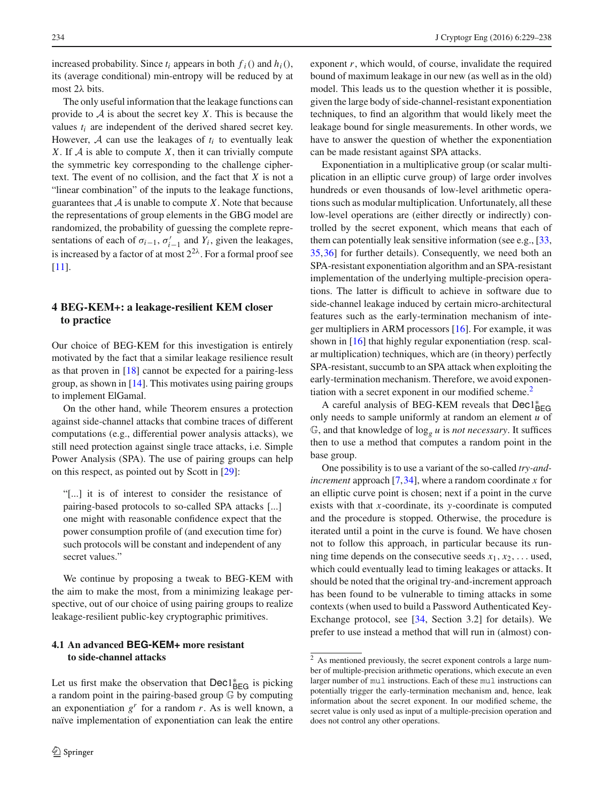increased probability. Since  $t_i$  appears in both  $f_i()$  and  $h_i()$ , its (average conditional) min-entropy will be reduced by at most 2λ bits.

The only useful information that the leakage functions can provide to *A* is about the secret key *X*. This is because the values *ti* are independent of the derived shared secret key. However,  $A$  can use the leakages of  $t_i$  to eventually leak *X*. If *A* is able to compute *X*, then it can trivially compute the symmetric key corresponding to the challenge ciphertext. The event of no collision, and the fact that *X* is not a "linear combination" of the inputs to the leakage functions, guarantees that  $A$  is unable to compute  $X$ . Note that because the representations of group elements in the GBG model are randomized, the probability of guessing the complete representations of each of  $\sigma_{i-1}$ ,  $\sigma'_{i-1}$  and  $Y_i$ , given the leakages, is increased by a factor of at most  $2^{2\lambda}$ . For a formal proof see [\[11](#page-9-12)].

### **4 BEG-KEM+: a leakage-resilient KEM closer to practice**

Our choice of BEG-KEM for this investigation is entirely motivated by the fact that a similar leakage resilience result as that proven in  $[18]$  $[18]$  cannot be expected for a pairing-less group, as shown in [\[14](#page-9-22)]. This motivates using pairing groups to implement ElGamal.

On the other hand, while Theorem ensures a protection against side-channel attacks that combine traces of different computations (e.g., differential power analysis attacks), we still need protection against single trace attacks, i.e. Simple Power Analysis (SPA). The use of pairing groups can help on this respect, as pointed out by Scott in [\[29\]](#page-9-23):

"[...] it is of interest to consider the resistance of pairing-based protocols to so-called SPA attacks [...] one might with reasonable confidence expect that the power consumption profile of (and execution time for) such protocols will be constant and independent of any secret values."

We continue by proposing a tweak to BEG-KEM with the aim to make the most, from a minimizing leakage perspective, out of our choice of using pairing groups to realize leakage-resilient public-key cryptographic primitives.

### <span id="page-5-1"></span>**4.1 An advanced BEG-KEM+ more resistant to side-channel attacks**

Let us first make the observation that Dec1<sup>\*</sup><sub>BEG</sub> is picking a random point in the pairing-based group G by computing an exponentiation  $g<sup>r</sup>$  for a random *r*. As is well known, a naïve implementation of exponentiation can leak the entire

exponent *r*, which would, of course, invalidate the required bound of maximum leakage in our new (as well as in the old) model. This leads us to the question whether it is possible, given the large body of side-channel-resistant exponentiation techniques, to find an algorithm that would likely meet the leakage bound for single measurements. In other words, we have to answer the question of whether the exponentiation can be made resistant against SPA attacks.

Exponentiation in a multiplicative group (or scalar multiplication in an elliptic curve group) of large order involves hundreds or even thousands of low-level arithmetic operations such as modular multiplication. Unfortunately, all these low-level operations are (either directly or indirectly) controlled by the secret exponent, which means that each of them can potentially leak sensitive information (see e.g., [\[33,](#page-9-24) [35](#page-9-25)[,36](#page-9-26)] for further details). Consequently, we need both an SPA-resistant exponentiation algorithm and an SPA-resistant implementation of the underlying multiple-precision operations. The latter is difficult to achieve in software due to side-channel leakage induced by certain micro-architectural features such as the early-termination mechanism of integer multipliers in ARM processors [\[16\]](#page-9-27). For example, it was shown in [\[16\]](#page-9-27) that highly regular exponentiation (resp. scalar multiplication) techniques, which are (in theory) perfectly SPA-resistant, succumb to an SPA attack when exploiting the early-termination mechanism. Therefore, we avoid exponen-tiation with a secret exponent in our modified scheme.<sup>[2](#page-5-0)</sup>

A careful analysis of BEG-KEM reveals that Dec1<sup>\*</sup><sub>BEG</sub> only needs to sample uniformly at random an element *u* of  $\mathbb{G}$ , and that knowledge of  $\log_{e} u$  is *not necessary*. It suffices then to use a method that computes a random point in the base group.

One possibility is to use a variant of the so-called *try-andincrement* approach [\[7](#page-9-28)[,34](#page-9-29)], where a random coordinate *x* for an elliptic curve point is chosen; next if a point in the curve exists with that *x*-coordinate, its *y*-coordinate is computed and the procedure is stopped. Otherwise, the procedure is iterated until a point in the curve is found. We have chosen not to follow this approach, in particular because its running time depends on the consecutive seeds  $x_1, x_2, \ldots$  used, which could eventually lead to timing leakages or attacks. It should be noted that the original try-and-increment approach has been found to be vulnerable to timing attacks in some contexts (when used to build a Password Authenticated Key-Exchange protocol, see [\[34](#page-9-29), Section 3.2] for details). We prefer to use instead a method that will run in (almost) con-

<span id="page-5-0"></span> $\overline{2}$  As mentioned previously, the secret exponent controls a large number of multiple-precision arithmetic operations, which execute an even larger number of mul instructions. Each of these mul instructions can potentially trigger the early-termination mechanism and, hence, leak information about the secret exponent. In our modified scheme, the secret value is only used as input of a multiple-precision operation and does not control any other operations.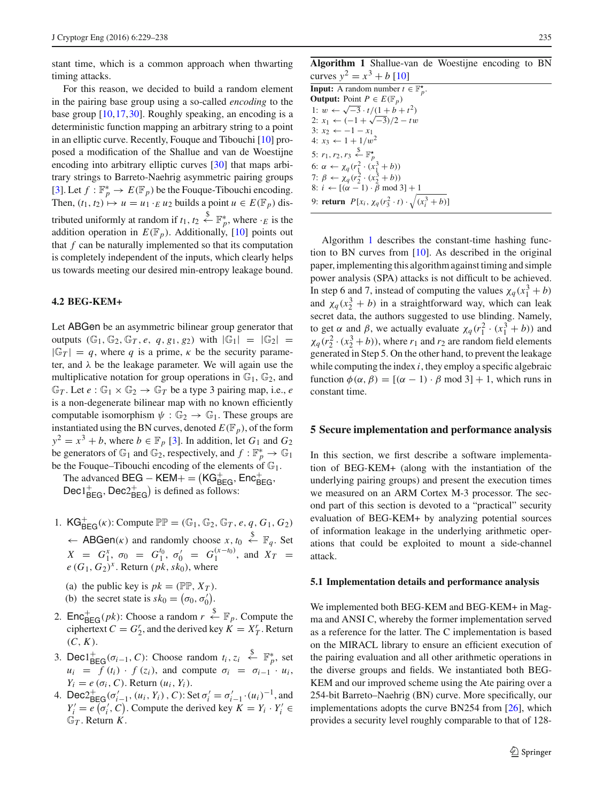stant time, which is a common approach when thwarting timing attacks.

For this reason, we decided to build a random element in the pairing base group using a so-called *encoding* to the base group [\[10](#page-9-13)[,17](#page-9-30)[,30](#page-9-31)]. Roughly speaking, an encoding is a deterministic function mapping an arbitrary string to a point in an elliptic curve. Recently, Fouque and Tibouchi [\[10](#page-9-13)] proposed a modification of the Shallue and van de Woestijne encoding into arbitrary elliptic curves [\[30\]](#page-9-31) that maps arbitrary strings to Barreto-Naehrig asymmetric pairing groups [\[3](#page-9-32)]. Let  $f : \mathbb{F}_p^* \to E(\mathbb{F}_p)$  be the Fouque-Tibouchi encoding. Then,  $(t_1, t_2) \mapsto u = u_1 \cdot_E u_2$  builds a point  $u \in E(\mathbb{F}_p)$  distributed uniformly at random if  $t_1, t_2 \stackrel{\$}{\leftarrow} \mathbb{F}_p^*$ , where  $\cdot_E$  is the addition operation in  $E(\mathbb{F}_p)$ . Additionally, [\[10\]](#page-9-13) points out that *f* can be naturally implemented so that its computation is completely independent of the inputs, which clearly helps us towards meeting our desired min-entropy leakage bound.

#### **4.2 BEG-KEM+**

Let ABGen be an asymmetric bilinear group generator that outputs  $(\mathbb{G}_1, \mathbb{G}_2, \mathbb{G}_T, e, q, g_1, g_2)$  with  $|\mathbb{G}_1| = |\mathbb{G}_2| =$  $|\mathbb{G}_T| = q$ , where q is a prime,  $\kappa$  be the security parameter, and  $\lambda$  be the leakage parameter. We will again use the multiplicative notation for group operations in  $\mathbb{G}_1$ ,  $\mathbb{G}_2$ , and  $\mathbb{G}_T$ . Let  $e : \mathbb{G}_1 \times \mathbb{G}_2 \to \mathbb{G}_T$  be a type 3 pairing map, i.e., *e* is a non-degenerate bilinear map with no known efficiently computable isomorphism  $\psi : \mathbb{G}_2 \to \mathbb{G}_1$ . These groups are instantiated using the BN curves, denoted  $E(\mathbb{F}_p)$ , of the form  $y^2 = x^3 + b$ , where  $b \in \mathbb{F}_p$  [\[3\]](#page-9-32). In addition, let  $G_1$  and  $G_2$ be generators of  $\mathbb{G}_1$  and  $\mathbb{G}_2$ , respectively, and  $f : \mathbb{F}_p^* \to \mathbb{G}_1$ be the Fouque–Tibouchi encoding of the elements of  $\mathbb{G}_1$ .

The advanced  $\text{BEG} - \text{KEM} + = (\text{KG}_{\text{BEG}}^+, \text{Enc}_{\text{BEG}}^+)$  $\text{Dec1}_{\text{BEG}}^{+}$ ,  $\text{Dec2}_{\text{BEG}}^{+}$  is defined as follows:

- 1.  $KG_{BEG}^{+}(\kappa)$ : Compute  $\mathbb{PP} = (\mathbb{G}_1, \mathbb{G}_2, \mathbb{G}_T, e, q, G_1, G_2)$  $\leftarrow$  **ABGen**(*k*) and randomly choose *x*, *t*<sub>0</sub>  $\stackrel{\$}{\leftarrow}$   $\mathbb{F}_q$ . Set  $X = G_1^x$ ,  $\sigma_0 = G_1^{t_0}$ ,  $\sigma_0' = G_1^{(x-t_0)}$ , and  $X_T =$  $e(G_1, G_2)^x$ . Return (*pk*, *sk*<sub>0</sub>), where
	- (a) the public key is  $pk = (PP, X_T)$ .
	- (b) the secret state is  $sk_0 = (\sigma_0, \sigma'_0)$ .
- 2.  $\mathsf{Enc}_{\mathsf{BEG}}^+(pk)$ : Choose a random  $r \overset{\$}{\leftarrow} \mathbb{F}_p$ . Compute the ciphertext  $C = G_2^r$ , and the derived key  $K = X_T^r$ . Return  $(C, K)$ .
- 3. Dec1 $_{\text{BEG}}^+(\sigma_{i-1}, C)$ : Choose random  $t_i, z_i \stackrel{\$}{\leftarrow} \mathbb{F}_p^*$ , set  $u_i = f(t_i) \cdot f(z_i)$ , and compute  $\sigma_i = \sigma_{i-1} \cdot u_i$ ,  $Y_i = e(\sigma_i, C)$ . Return  $(u_i, Y_i)$ .
- 4. Dec  $2^+_{\text{BEG}}(\sigma'_{i-1}, (u_i, Y_i), C)$ : Set  $\sigma'_{i} = \sigma'_{i-1} \cdot (u_i)^{-1}$ , and  $Y_i' = e(\sigma_i', C)$ . Compute the derived key  $K = Y_i \cdot Y_i' \in$  $\mathbb{G}_T$ . Return *K*.

**Algorithm 1** Shallue-van de Woestijne encoding to BN curves  $y^2 = x^3 + b$  [\[10\]](#page-9-13)

<span id="page-6-1"></span>

| <b>Input:</b> A random number $t \in \mathbb{F}_n^{\star}$ .              |
|---------------------------------------------------------------------------|
| <b>Output:</b> Point $P \in E(\mathbb{F}_p)$                              |
| 1: $w \leftarrow \sqrt{-3} \cdot t/(1+b+t^2)$                             |
| 2: $x_1 \leftarrow (-1 + \sqrt{-3})/2 - tw$                               |
| 3: $x_2 \leftarrow -1 - x_1$                                              |
| 4: $x_3 \leftarrow 1 + 1/w^2$                                             |
| 5: $r_1, r_2, r_3 \stackrel{\$}{\leftarrow} \mathbb{F}_p^{\star}$         |
| 6: $\alpha \leftarrow \chi_q(r_1^2 \cdot (x_1^3 + b))$                    |
| 7: $\beta \leftarrow \chi_q(r_2^2 \cdot (x_2^3 + b))$                     |
| 8: $i \leftarrow [(\alpha - 1) \cdot \beta \mod 3] + 1$                   |
| 9: <b>return</b> $P[x_i, \chi_q(r_3^2 \cdot t) \cdot \sqrt{(x_i^3 + b)}]$ |
|                                                                           |

Algorithm [1](#page-6-1) describes the constant-time hashing function to BN curves from [\[10](#page-9-13)]. As described in the original paper, implementing this algorithm against timing and simple power analysis (SPA) attacks is not difficult to be achieved. In step 6 and 7, instead of computing the values  $\chi_q(x_1^3 + b)$ and  $\chi_q(x_2^3 + b)$  in a straightforward way, which can leak secret data, the authors suggested to use blinding. Namely, to get  $\alpha$  and  $\beta$ , we actually evaluate  $\chi_q(r_1^2 \cdot (x_1^3 + b))$  and  $\chi_q(r_2^2 \cdot (x_2^3 + b))$ , where  $r_1$  and  $r_2$  are random field elements generated in Step 5. On the other hand, to prevent the leakage while computing the index *i*, they employ a specific algebraic function  $\phi(\alpha, \beta) = [(\alpha - 1) \cdot \beta \mod 3] + 1$ , which runs in constant time.

#### <span id="page-6-0"></span>**5 Secure implementation and performance analysis**

In this section, we first describe a software implementation of BEG-KEM+ (along with the instantiation of the underlying pairing groups) and present the execution times we measured on an ARM Cortex M-3 processor. The second part of this section is devoted to a "practical" security evaluation of BEG-KEM+ by analyzing potential sources of information leakage in the underlying arithmetic operations that could be exploited to mount a side-channel attack.

#### **5.1 Implementation details and performance analysis**

We implemented both BEG-KEM and BEG-KEM+ in Magma and ANSI C, whereby the former implementation served as a reference for the latter. The C implementation is based on the MIRACL library to ensure an efficient execution of the pairing evaluation and all other arithmetic operations in the diverse groups and fields. We instantiated both BEG-KEM and our improved scheme using the Ate pairing over a 254-bit Barreto–Naehrig (BN) curve. More specifically, our implementations adopts the curve BN254 from [\[26](#page-9-33)], which provides a security level roughly comparable to that of 128-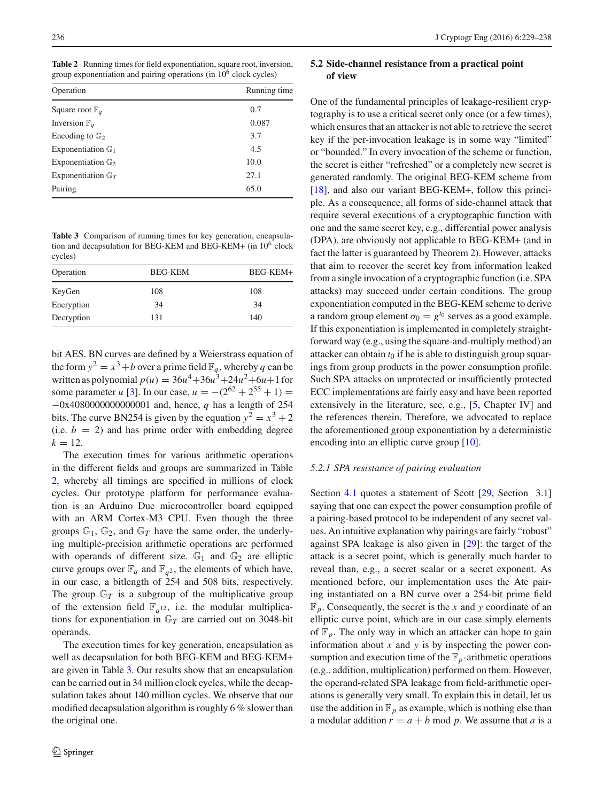<span id="page-7-0"></span>**Table 2** Running times for field exponentiation, square root, inversion, group exponentiation and pairing operations (in  $10<sup>6</sup>$  clock cycles)

| Operation                     | Running time |
|-------------------------------|--------------|
| Square root $\mathbb{F}_q$    | 0.7          |
| Inversion $\mathbb{F}_q$      | 0.087        |
| Encoding to $\mathbb{G}_2$    | 3.7          |
| Exponentiation $\mathbb{G}_1$ | 4.5          |
| Exponentiation $\mathbb{G}_2$ | 10.0         |
| Exponentiation $\mathbb{G}_T$ | 27.1         |
| Pairing                       | 65.0         |
|                               |              |

<span id="page-7-1"></span>**Table 3** Comparison of running times for key generation, encapsulation and decapsulation for BEG-KEM and BEG-KEM+ (in  $10^6$  clock cycles)

| Operation  | <b>BEG-KEM</b> | BEG-KEM+ |
|------------|----------------|----------|
| KeyGen     | 108            | 108      |
| Encryption | 34             | 34       |
| Decryption | 131            | 140      |

bit AES. BN curves are defined by a Weierstrass equation of the form  $y^2 = x^3 + b$  over a prime field  $\mathbb{F}_q$ , whereby q can be written as polynomial  $p(u) = 36u^4 + 36u^3 + 24u^2 + 6u + 1$  for some parameter *u* [\[3\]](#page-9-32). In our case,  $u = -(2^{62} + 2^{55} + 1) =$ −0x4080000000000001 and, hence, *q* has a length of 254 bits. The curve BN254 is given by the equation  $y^2 = x^3 + 2$ (i.e.  $b = 2$ ) and has prime order with embedding degree  $k = 12$ .

The execution times for various arithmetic operations in the different fields and groups are summarized in Table [2,](#page-7-0) whereby all timings are specified in millions of clock cycles. Our prototype platform for performance evaluation is an Arduino Due microcontroller board equipped with an ARM Cortex-M3 CPU. Even though the three groups  $\mathbb{G}_1$ ,  $\mathbb{G}_2$ , and  $\mathbb{G}_T$  have the same order, the underlying multiple-precision arithmetic operations are performed with operands of different size.  $\mathbb{G}_1$  and  $\mathbb{G}_2$  are elliptic curve groups over  $\mathbb{F}_q$  and  $\mathbb{F}_{q^2}$ , the elements of which have, in our case, a bitlength of 254 and 508 bits, respectively. The group  $\mathbb{G}_T$  is a subgroup of the multiplicative group of the extension field  $\mathbb{F}_{q^{12}}$ , i.e. the modular multiplications for exponentiation in G*<sup>T</sup>* are carried out on 3048-bit operands.

The execution times for key generation, encapsulation as well as decapsulation for both BEG-KEM and BEG-KEM+ are given in Table [3.](#page-7-1) Our results show that an encapsulation can be carried out in 34 million clock cycles, while the decapsulation takes about 140 million cycles. We observe that our modified decapsulation algorithm is roughly 6 % slower than the original one.

### **5.2 Side-channel resistance from a practical point of view**

One of the fundamental principles of leakage-resilient cryptography is to use a critical secret only once (or a few times), which ensures that an attacker is not able to retrieve the secret key if the per-invocation leakage is in some way "limited" or "bounded." In every invocation of the scheme or function, the secret is either "refreshed" or a completely new secret is generated randomly. The original BEG-KEM scheme from [\[18](#page-9-10)], and also our variant BEG-KEM+, follow this principle. As a consequence, all forms of side-channel attack that require several executions of a cryptographic function with one and the same secret key, e.g., differential power analysis (DPA), are obviously not applicable to BEG-KEM+ (and in fact the latter is guaranteed by Theorem [2\)](#page-4-1). However, attacks that aim to recover the secret key from information leaked from a single invocation of a cryptographic function (i.e. SPA attacks) may succeed under certain conditions. The group exponentiation computed in the BEG-KEM scheme to derive a random group element  $\sigma_0 = g^{t_0}$  serves as a good example. If this exponentiation is implemented in completely straightforward way (e.g., using the square-and-multiply method) an attacker can obtain  $t_0$  if he is able to distinguish group squarings from group products in the power consumption profile. Such SPA attacks on unprotected or insufficiently protected ECC implementations are fairly easy and have been reported extensively in the literature, see, e.g., [\[5](#page-9-34), Chapter IV] and the references therein. Therefore, we advocated to replace the aforementioned group exponentiation by a deterministic encoding into an elliptic curve group [\[10\]](#page-9-13).

#### *5.2.1 SPA resistance of pairing evaluation*

Section [4.1](#page-5-1) quotes a statement of Scott [\[29](#page-9-23), Section 3.1] saying that one can expect the power consumption profile of a pairing-based protocol to be independent of any secret values. An intuitive explanation why pairings are fairly "robust" against SPA leakage is also given in [\[29](#page-9-23)]: the target of the attack is a secret point, which is generally much harder to reveal than, e.g., a secret scalar or a secret exponent. As mentioned before, our implementation uses the Ate pairing instantiated on a BN curve over a 254-bit prime field  $\mathbb{F}_p$ . Consequently, the secret is the *x* and *y* coordinate of an elliptic curve point, which are in our case simply elements of  $\mathbb{F}_p$ . The only way in which an attacker can hope to gain information about *x* and *y* is by inspecting the power consumption and execution time of the  $\mathbb{F}_p$ -arithmetic operations (e.g., addition, multiplication) performed on them. However, the operand-related SPA leakage from field-arithmetic operations is generally very small. To explain this in detail, let us use the addition in  $\mathbb{F}_p$  as example, which is nothing else than a modular addition  $r = a + b$  mod p. We assume that a is a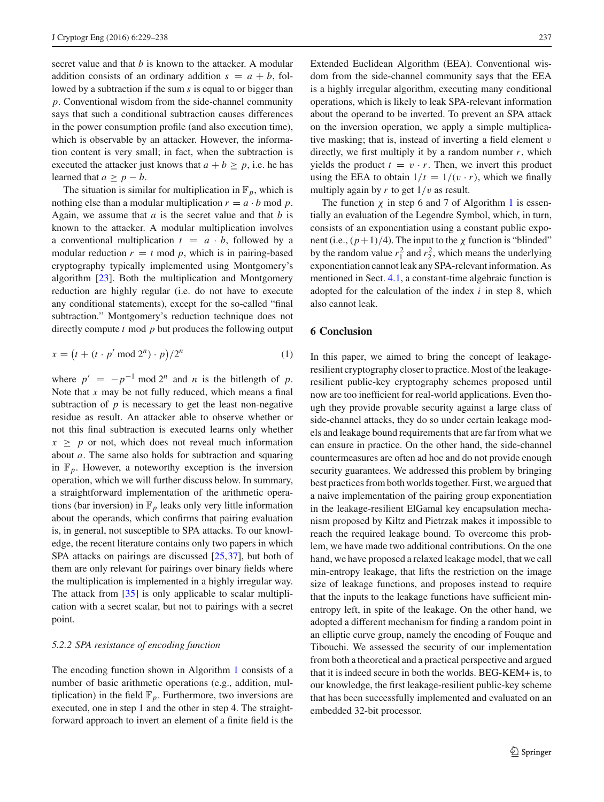secret value and that *b* is known to the attacker. A modular addition consists of an ordinary addition  $s = a + b$ , followed by a subtraction if the sum *s* is equal to or bigger than *p*. Conventional wisdom from the side-channel community says that such a conditional subtraction causes differences in the power consumption profile (and also execution time), which is observable by an attacker. However, the information content is very small; in fact, when the subtraction is executed the attacker just knows that  $a + b \geq p$ , i.e. he has learned that  $a \geq p - b$ .

The situation is similar for multiplication in  $\mathbb{F}_p$ , which is nothing else than a modular multiplication  $r = a \cdot b \mod p$ . Again, we assume that *a* is the secret value and that *b* is known to the attacker. A modular multiplication involves a conventional multiplication  $t = a \cdot b$ , followed by a modular reduction  $r = t \mod p$ , which is in pairing-based cryptography typically implemented using Montgomery's algorithm [\[23](#page-9-35)]. Both the multiplication and Montgomery reduction are highly regular (i.e. do not have to execute any conditional statements), except for the so-called "final subtraction." Montgomery's reduction technique does not directly compute *t* mod *p* but produces the following output

$$
x = \left(t + (t \cdot p' \bmod 2^n) \cdot p\right) / 2^n \tag{1}
$$

where  $p' = -p^{-1} \mod 2^n$  and *n* is the bitlength of *p*. Note that *x* may be not fully reduced, which means a final subtraction of  $p$  is necessary to get the least non-negative residue as result. An attacker able to observe whether or not this final subtraction is executed learns only whether  $x \geq p$  or not, which does not reveal much information about *a*. The same also holds for subtraction and squaring in  $\mathbb{F}_p$ . However, a noteworthy exception is the inversion operation, which we will further discuss below. In summary, a straightforward implementation of the arithmetic operations (bar inversion) in  $\mathbb{F}_p$  leaks only very little information about the operands, which confirms that pairing evaluation is, in general, not susceptible to SPA attacks. To our knowledge, the recent literature contains only two papers in which SPA attacks on pairings are discussed [\[25,](#page-9-36)[37\]](#page-9-37), but both of them are only relevant for pairings over binary fields where the multiplication is implemented in a highly irregular way. The attack from [\[35\]](#page-9-25) is only applicable to scalar multiplication with a secret scalar, but not to pairings with a secret point.

#### *5.2.2 SPA resistance of encoding function*

The encoding function shown in Algorithm [1](#page-6-1) consists of a number of basic arithmetic operations (e.g., addition, multiplication) in the field  $\mathbb{F}_p$ . Furthermore, two inversions are executed, one in step 1 and the other in step 4. The straightforward approach to invert an element of a finite field is the

Extended Euclidean Algorithm (EEA). Conventional wisdom from the side-channel community says that the EEA is a highly irregular algorithm, executing many conditional operations, which is likely to leak SPA-relevant information about the operand to be inverted. To prevent an SPA attack on the inversion operation, we apply a simple multiplicative masking; that is, instead of inverting a field element v directly, we first multiply it by a random number *r*, which yields the product  $t = v \cdot r$ . Then, we invert this product using the EEA to obtain  $1/t = 1/(v \cdot r)$ , which we finally multiply again by  $r$  to get  $1/v$  as result.

The function  $\chi$  in step 6 and 7 of Algorithm [1](#page-6-1) is essentially an evaluation of the Legendre Symbol, which, in turn, consists of an exponentiation using a constant public exponent (i.e.,  $(p+1)/4$ ). The input to the  $\chi$  function is "blinded" by the random value  $r_1^2$  and  $r_2^2$ , which means the underlying exponentiation cannot leak any SPA-relevant information. As mentioned in Sect. [4.1,](#page-5-1) a constant-time algebraic function is adopted for the calculation of the index *i* in step 8, which also cannot leak.

### **6 Conclusion**

In this paper, we aimed to bring the concept of leakageresilient cryptography closer to practice. Most of the leakageresilient public-key cryptography schemes proposed until now are too inefficient for real-world applications. Even though they provide provable security against a large class of side-channel attacks, they do so under certain leakage models and leakage bound requirements that are far from what we can ensure in practice. On the other hand, the side-channel countermeasures are often ad hoc and do not provide enough security guarantees. We addressed this problem by bringing best practices from both worlds together. First, we argued that a naive implementation of the pairing group exponentiation in the leakage-resilient ElGamal key encapsulation mechanism proposed by Kiltz and Pietrzak makes it impossible to reach the required leakage bound. To overcome this problem, we have made two additional contributions. On the one hand, we have proposed a relaxed leakage model, that we call min-entropy leakage, that lifts the restriction on the image size of leakage functions, and proposes instead to require that the inputs to the leakage functions have sufficient minentropy left, in spite of the leakage. On the other hand, we adopted a different mechanism for finding a random point in an elliptic curve group, namely the encoding of Fouque and Tibouchi. We assessed the security of our implementation from both a theoretical and a practical perspective and argued that it is indeed secure in both the worlds. BEG-KEM+ is, to our knowledge, the first leakage-resilient public-key scheme that has been successfully implemented and evaluated on an embedded 32-bit processor.